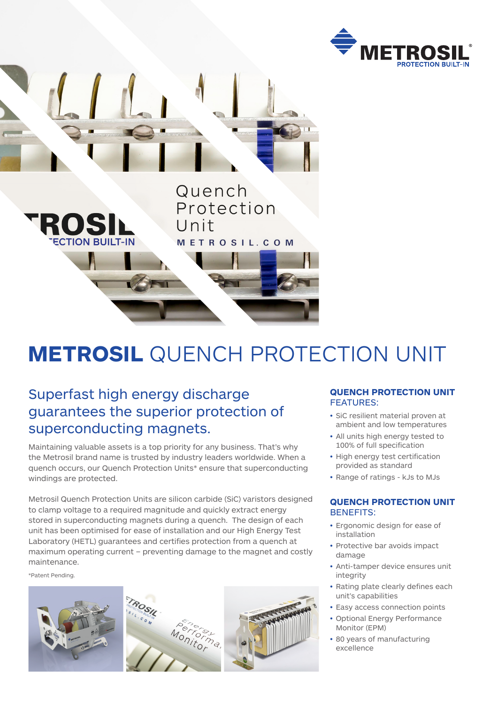



# **METROSIL** QUENCH PROTECTION UNIT

## Superfast high energy discharge guarantees the superior protection of superconducting magnets.

Maintaining valuable assets is a top priority for any business. That's why the Metrosil brand name is trusted by industry leaders worldwide. When a quench occurs, our Quench Protection Units\* ensure that superconducting windings are protected.

Metrosil Quench Protection Units are silicon carbide (SiC) varistors designed to clamp voltage to a required magnitude and quickly extract energy stored in superconducting magnets during a quench. The design of each unit has been optimised for ease of installation and our High Energy Test Laboratory (HETL) guarantees and certifies protection from a quench at maximum operating current – preventing damage to the magnet and costly maintenance.

\*Patent Pending.



#### **QUENCH PROTECTION UNIT** FEATURES:

- SiC resilient material proven at ambient and low temperatures
- All units high energy tested to 100% of full specification
- High energy test certification provided as standard
- Range of ratings kJs to MJs

#### **QUENCH PROTECTION UNIT** BENEFITS:

- Ergonomic design for ease of installation
- Protective bar avoids impact damage
- Anti-tamper device ensures unit integrity
- Rating plate clearly defines each unit's capabilities
- Easy access connection points
- Optional Energy Performance Monitor (EPM)
- 80 years of manufacturing excellence